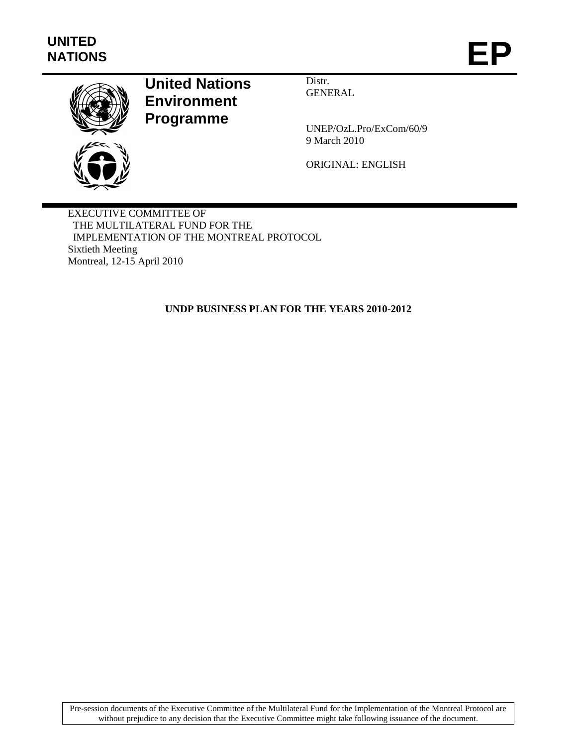

# **United Nations Environment Programme**

Distr. **GENERAL** 

UNEP/OzL.Pro/ExCom/60/9 9 March 2010

ORIGINAL: ENGLISH

EXECUTIVE COMMITTEE OF THE MULTILATERAL FUND FOR THE IMPLEMENTATION OF THE MONTREAL PROTOCOL Sixtieth Meeting Montreal, 12-15 April 2010

**UNDP BUSINESS PLAN FOR THE YEARS 2010-2012**

Pre-session documents of the Executive Committee of the Multilateral Fund for the Implementation of the Montreal Protocol are without prejudice to any decision that the Executive Committee might take following issuance of the document.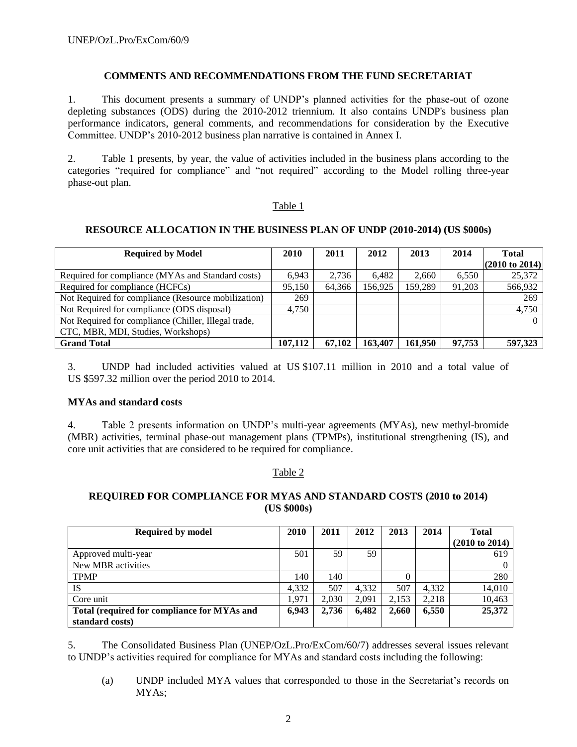## **COMMENTS AND RECOMMENDATIONS FROM THE FUND SECRETARIAT**

1. This document presents a summary of UNDP"s planned activities for the phase-out of ozone depleting substances (ODS) during the 2010-2012 triennium. It also contains UNDP's business plan performance indicators, general comments, and recommendations for consideration by the Executive Committee. UNDP"s 2010-2012 business plan narrative is contained in Annex I.

2. Table 1 presents, by year, the value of activities included in the business plans according to the categories "required for compliance" and "not required" according to the Model rolling three-year phase-out plan.

#### Table 1

## **RESOURCE ALLOCATION IN THE BUSINESS PLAN OF UNDP (2010-2014) (US \$000s)**

| <b>Required by Model</b>                             |         | 2011   | 2012    | 2013    | 2014   | <b>Total</b>              |
|------------------------------------------------------|---------|--------|---------|---------|--------|---------------------------|
|                                                      |         |        |         |         |        | $(2010 \text{ to } 2014)$ |
| Required for compliance (MYAs and Standard costs)    | 6.943   | 2.736  | 6.482   | 2.660   | 6,550  | 25,372                    |
| Required for compliance (HCFCs)                      | 95.150  | 64,366 | 156.925 | 159.289 | 91.203 | 566,932                   |
| Not Required for compliance (Resource mobilization)  | 269     |        |         |         |        | 269                       |
| Not Required for compliance (ODS disposal)           | 4.750   |        |         |         |        | 4,750                     |
| Not Required for compliance (Chiller, Illegal trade, |         |        |         |         |        |                           |
| CTC, MBR, MDI, Studies, Workshops)                   |         |        |         |         |        |                           |
| <b>Grand Total</b>                                   | 107.112 | 67.102 | 163,407 | 161.950 | 97,753 | 597,323                   |

3. UNDP had included activities valued at US \$107.11 million in 2010 and a total value of US \$597.32 million over the period 2010 to 2014.

## **MYAs and standard costs**

4. Table 2 presents information on UNDP"s multi-year agreements (MYAs), new methyl-bromide (MBR) activities, terminal phase-out management plans (TPMPs), institutional strengthening (IS), and core unit activities that are considered to be required for compliance.

## Table 2

## **REQUIRED FOR COMPLIANCE FOR MYAS AND STANDARD COSTS (2010 to 2014) (US \$000s)**

| <b>Required by model</b>                    |       | 2011  | 2012  | 2013  | 2014  | <b>Total</b>              |
|---------------------------------------------|-------|-------|-------|-------|-------|---------------------------|
|                                             |       |       |       |       |       | $(2010 \text{ to } 2014)$ |
| Approved multi-year                         | 501   | 59    | 59    |       |       | 619                       |
| New MBR activities                          |       |       |       |       |       |                           |
| <b>TPMP</b>                                 | 140   | 140   |       |       |       | 280                       |
| <b>IS</b>                                   | 4.332 | 507   | 4.332 | 507   | 4.332 | 14,010                    |
| Core unit                                   | 1.971 | 2,030 | 2,091 | 2,153 | 2,218 | 10,463                    |
| Total (required for compliance for MYAs and | 6,943 | 2,736 | 6.482 | 2.660 | 6,550 | 25,372                    |
| standard costs)                             |       |       |       |       |       |                           |

5. The Consolidated Business Plan (UNEP/OzL.Pro/ExCom/60/7) addresses several issues relevant to UNDP"s activities required for compliance for MYAs and standard costs including the following:

(a) UNDP included MYA values that corresponded to those in the Secretariat"s records on MYAs;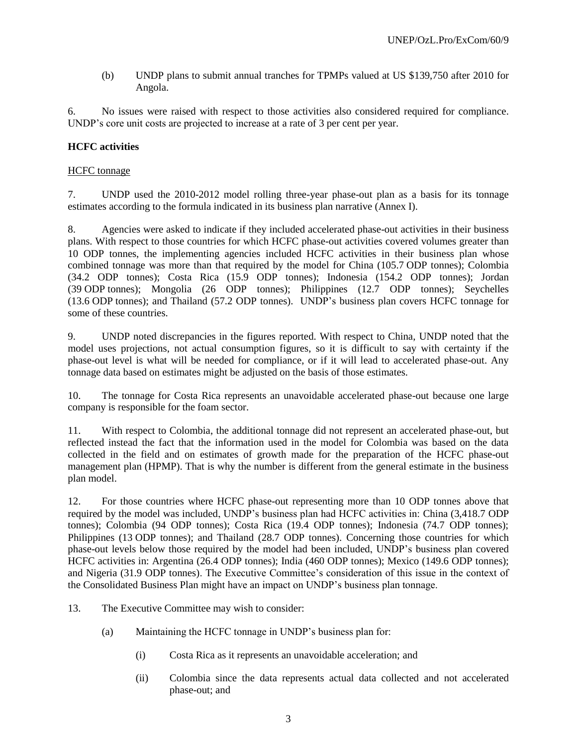(b) UNDP plans to submit annual tranches for TPMPs valued at US \$139,750 after 2010 for Angola.

6. No issues were raised with respect to those activities also considered required for compliance. UNDP"s core unit costs are projected to increase at a rate of 3 per cent per year.

# **HCFC activities**

#### HCFC tonnage

7. UNDP used the 2010-2012 model rolling three-year phase-out plan as a basis for its tonnage estimates according to the formula indicated in its business plan narrative (Annex I).

8. Agencies were asked to indicate if they included accelerated phase-out activities in their business plans. With respect to those countries for which HCFC phase-out activities covered volumes greater than 10 ODP tonnes, the implementing agencies included HCFC activities in their business plan whose combined tonnage was more than that required by the model for China (105.7 ODP tonnes); Colombia (34.2 ODP tonnes); Costa Rica (15.9 ODP tonnes); Indonesia (154.2 ODP tonnes); Jordan (39 ODP tonnes); Mongolia (26 ODP tonnes); Philippines (12.7 ODP tonnes); Seychelles (13.6 ODP tonnes); and Thailand (57.2 ODP tonnes). UNDP"s business plan covers HCFC tonnage for some of these countries.

9. UNDP noted discrepancies in the figures reported. With respect to China, UNDP noted that the model uses projections, not actual consumption figures, so it is difficult to say with certainty if the phase-out level is what will be needed for compliance, or if it will lead to accelerated phase-out. Any tonnage data based on estimates might be adjusted on the basis of those estimates.

10. The tonnage for Costa Rica represents an unavoidable accelerated phase-out because one large company is responsible for the foam sector.

11. With respect to Colombia, the additional tonnage did not represent an accelerated phase-out, but reflected instead the fact that the information used in the model for Colombia was based on the data collected in the field and on estimates of growth made for the preparation of the HCFC phase-out management plan (HPMP). That is why the number is different from the general estimate in the business plan model.

12. For those countries where HCFC phase-out representing more than 10 ODP tonnes above that required by the model was included, UNDP"s business plan had HCFC activities in: China (3,418.7 ODP tonnes); Colombia (94 ODP tonnes); Costa Rica (19.4 ODP tonnes); Indonesia (74.7 ODP tonnes); Philippines (13 ODP tonnes); and Thailand (28.7 ODP tonnes). Concerning those countries for which phase-out levels below those required by the model had been included, UNDP"s business plan covered HCFC activities in: Argentina (26.4 ODP tonnes); India (460 ODP tonnes); Mexico (149.6 ODP tonnes); and Nigeria (31.9 ODP tonnes). The Executive Committee"s consideration of this issue in the context of the Consolidated Business Plan might have an impact on UNDP"s business plan tonnage.

13. The Executive Committee may wish to consider:

- (a) Maintaining the HCFC tonnage in UNDP"s business plan for:
	- (i) Costa Rica as it represents an unavoidable acceleration; and
	- (ii) Colombia since the data represents actual data collected and not accelerated phase-out; and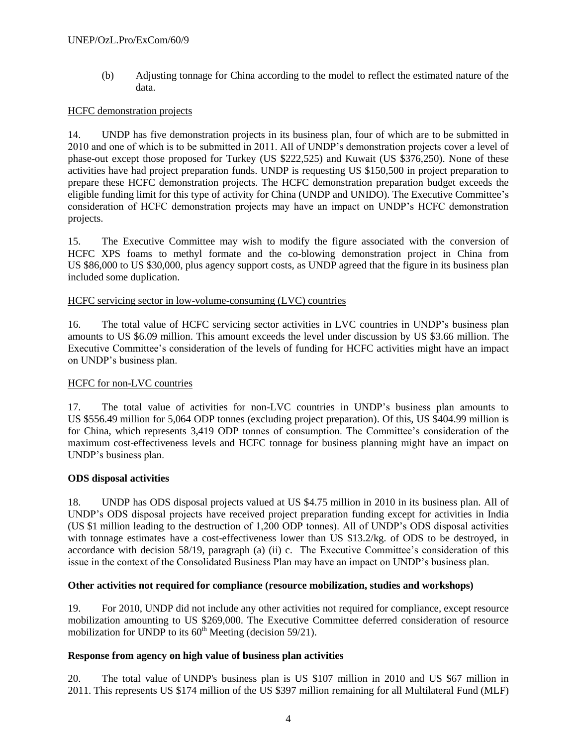(b) Adjusting tonnage for China according to the model to reflect the estimated nature of the data.

# HCFC demonstration projects

14. UNDP has five demonstration projects in its business plan, four of which are to be submitted in 2010 and one of which is to be submitted in 2011. All of UNDP"s demonstration projects cover a level of phase-out except those proposed for Turkey (US \$222,525) and Kuwait (US \$376,250). None of these activities have had project preparation funds. UNDP is requesting US \$150,500 in project preparation to prepare these HCFC demonstration projects. The HCFC demonstration preparation budget exceeds the eligible funding limit for this type of activity for China (UNDP and UNIDO). The Executive Committee"s consideration of HCFC demonstration projects may have an impact on UNDP"s HCFC demonstration projects.

15. The Executive Committee may wish to modify the figure associated with the conversion of HCFC XPS foams to methyl formate and the co-blowing demonstration project in China from US \$86,000 to US \$30,000, plus agency support costs, as UNDP agreed that the figure in its business plan included some duplication.

## HCFC servicing sector in low-volume-consuming (LVC) countries

16. The total value of HCFC servicing sector activities in LVC countries in UNDP"s business plan amounts to US \$6.09 million. This amount exceeds the level under discussion by US \$3.66 million. The Executive Committee's consideration of the levels of funding for HCFC activities might have an impact on UNDP"s business plan.

## HCFC for non-LVC countries

17. The total value of activities for non-LVC countries in UNDP"s business plan amounts to US \$556.49 million for 5,064 ODP tonnes (excluding project preparation). Of this, US \$404.99 million is for China, which represents 3,419 ODP tonnes of consumption. The Committee"s consideration of the maximum cost-effectiveness levels and HCFC tonnage for business planning might have an impact on UNDP"s business plan.

## **ODS disposal activities**

18. UNDP has ODS disposal projects valued at US \$4.75 million in 2010 in its business plan. All of UNDP"s ODS disposal projects have received project preparation funding except for activities in India (US \$1 million leading to the destruction of 1,200 ODP tonnes). All of UNDP"s ODS disposal activities with tonnage estimates have a cost-effectiveness lower than US \$13.2/kg. of ODS to be destroyed, in accordance with decision 58/19, paragraph (a) (ii) c. The Executive Committee's consideration of this issue in the context of the Consolidated Business Plan may have an impact on UNDP"s business plan.

## **Other activities not required for compliance (resource mobilization, studies and workshops)**

19. For 2010, UNDP did not include any other activities not required for compliance, except resource mobilization amounting to US \$269,000. The Executive Committee deferred consideration of resource mobilization for UNDP to its  $60<sup>th</sup>$  Meeting (decision 59/21).

#### **Response from agency on high value of business plan activities**

20. The total value of UNDP's business plan is US \$107 million in 2010 and US \$67 million in 2011. This represents US \$174 million of the US \$397 million remaining for all Multilateral Fund (MLF)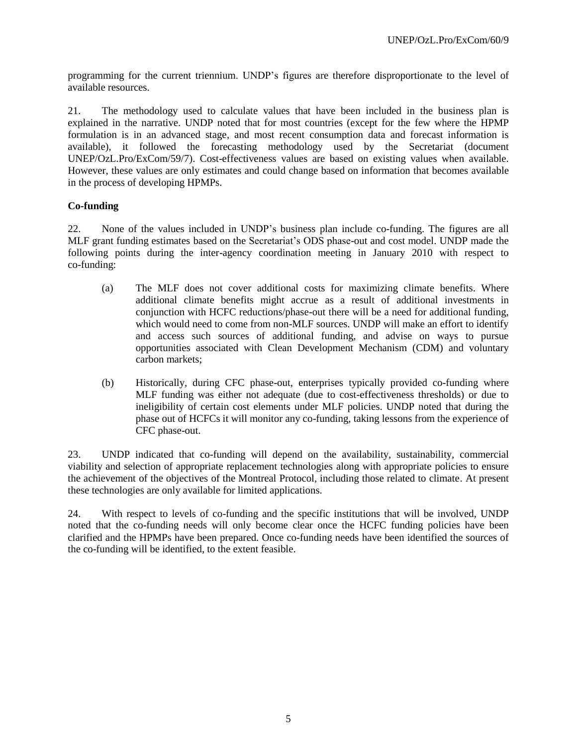programming for the current triennium. UNDP"s figures are therefore disproportionate to the level of available resources.

21. The methodology used to calculate values that have been included in the business plan is explained in the narrative. UNDP noted that for most countries (except for the few where the HPMP formulation is in an advanced stage, and most recent consumption data and forecast information is available), it followed the forecasting methodology used by the Secretariat (document UNEP/OzL.Pro/ExCom/59/7). Cost-effectiveness values are based on existing values when available. However, these values are only estimates and could change based on information that becomes available in the process of developing HPMPs.

# **Co-funding**

22. None of the values included in UNDP"s business plan include co-funding. The figures are all MLF grant funding estimates based on the Secretariat"s ODS phase-out and cost model. UNDP made the following points during the inter-agency coordination meeting in January 2010 with respect to co-funding:

- (a) The MLF does not cover additional costs for maximizing climate benefits. Where additional climate benefits might accrue as a result of additional investments in conjunction with HCFC reductions/phase-out there will be a need for additional funding, which would need to come from non-MLF sources. UNDP will make an effort to identify and access such sources of additional funding, and advise on ways to pursue opportunities associated with Clean Development Mechanism (CDM) and voluntary carbon markets;
- (b) Historically, during CFC phase-out, enterprises typically provided co-funding where MLF funding was either not adequate (due to cost-effectiveness thresholds) or due to ineligibility of certain cost elements under MLF policies. UNDP noted that during the phase out of HCFCs it will monitor any co-funding, taking lessons from the experience of CFC phase-out.

23. UNDP indicated that co-funding will depend on the availability, sustainability, commercial viability and selection of appropriate replacement technologies along with appropriate policies to ensure the achievement of the objectives of the Montreal Protocol, including those related to climate. At present these technologies are only available for limited applications.

24. With respect to levels of co-funding and the specific institutions that will be involved, UNDP noted that the co-funding needs will only become clear once the HCFC funding policies have been clarified and the HPMPs have been prepared. Once co-funding needs have been identified the sources of the co-funding will be identified, to the extent feasible.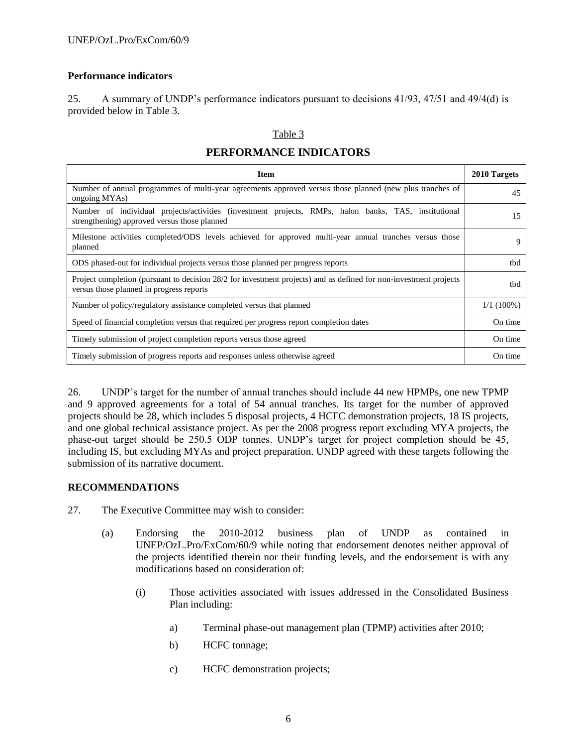# **Performance indicators**

25. A summary of UNDP"s performance indicators pursuant to decisions 41/93, 47/51 and 49/4(d) is provided below in Table 3.

## Table 3

# **PERFORMANCE INDICATORS**

| <b>Item</b>                                                                                                                                                   | 2010 Targets |
|---------------------------------------------------------------------------------------------------------------------------------------------------------------|--------------|
| Number of annual programmes of multi-year agreements approved versus those planned (new plus tranches of<br>ongoing MYAs)                                     | 45           |
| Number of individual projects/activities (investment projects, RMPs, halon banks, TAS, institutional<br>strengthening) approved versus those planned          | 15           |
| Milestone activities completed/ODS levels achieved for approved multi-year annual tranches versus those<br>planned                                            | 9            |
| ODS phased-out for individual projects versus those planned per progress reports                                                                              | thd          |
| Project completion (pursuant to decision 28/2 for investment projects) and as defined for non-investment projects<br>versus those planned in progress reports | tbd          |
| Number of policy/regulatory assistance completed versus that planned                                                                                          | $1/1(100\%)$ |
| Speed of financial completion versus that required per progress report completion dates                                                                       | On time      |
| Timely submission of project completion reports versus those agreed                                                                                           | On time      |
| Timely submission of progress reports and responses unless otherwise agreed                                                                                   | On time      |

26. UNDP"s target for the number of annual tranches should include 44 new HPMPs, one new TPMP and 9 approved agreements for a total of 54 annual tranches. Its target for the number of approved projects should be 28, which includes 5 disposal projects, 4 HCFC demonstration projects, 18 IS projects, and one global technical assistance project. As per the 2008 progress report excluding MYA projects, the phase-out target should be 250.5 ODP tonnes. UNDP"s target for project completion should be 45, including IS, but excluding MYAs and project preparation. UNDP agreed with these targets following the submission of its narrative document.

# **RECOMMENDATIONS**

- 27. The Executive Committee may wish to consider:
	- (a) Endorsing the 2010-2012 business plan of UNDP as contained in UNEP/OzL.Pro/ExCom/60/9 while noting that endorsement denotes neither approval of the projects identified therein nor their funding levels, and the endorsement is with any modifications based on consideration of:
		- (i) Those activities associated with issues addressed in the Consolidated Business Plan including:
			- a) Terminal phase-out management plan (TPMP) activities after 2010;
			- b) HCFC tonnage;
			- c) HCFC demonstration projects;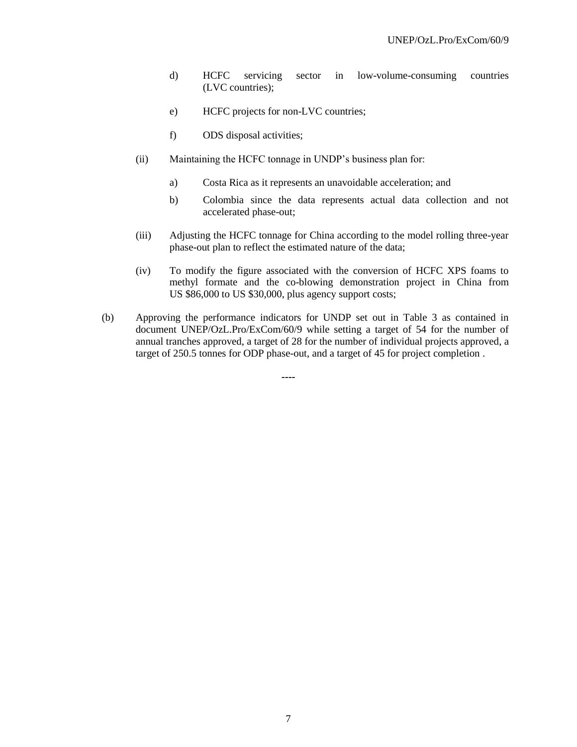- d) HCFC servicing sector in low-volume-consuming countries (LVC countries);
- e) HCFC projects for non-LVC countries;
- f) ODS disposal activities;
- (ii) Maintaining the HCFC tonnage in UNDP"s business plan for:
	- a) Costa Rica as it represents an unavoidable acceleration; and
	- b) Colombia since the data represents actual data collection and not accelerated phase-out;
- (iii) Adjusting the HCFC tonnage for China according to the model rolling three-year phase-out plan to reflect the estimated nature of the data;
- (iv) To modify the figure associated with the conversion of HCFC XPS foams to methyl formate and the co-blowing demonstration project in China from US \$86,000 to US \$30,000, plus agency support costs;
- (b) Approving the performance indicators for UNDP set out in Table 3 as contained in document UNEP/OzL.Pro/ExCom/60/9 while setting a target of 54 for the number of annual tranches approved, a target of 28 for the number of individual projects approved, a target of 250.5 tonnes for ODP phase-out, and a target of 45 for project completion .

**----**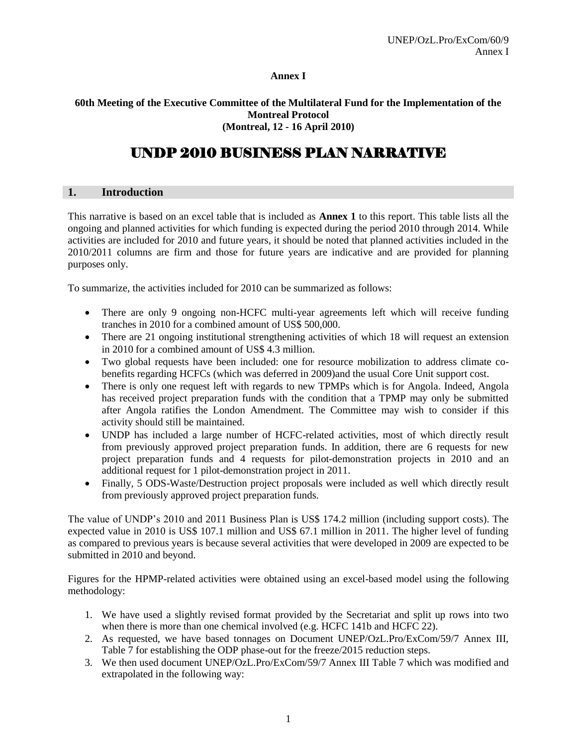## **Annex I**

## **60th Meeting of the Executive Committee of the Multilateral Fund for the Implementation of the Montreal Protocol (Montreal, 12 - 16 April 2010)**

# UNDP 2010 BUSINESS PLAN NARRATIVE

## **1. Introduction**

This narrative is based on an excel table that is included as **Annex 1** to this report. This table lists all the ongoing and planned activities for which funding is expected during the period 2010 through 2014. While activities are included for 2010 and future years, it should be noted that planned activities included in the 2010/2011 columns are firm and those for future years are indicative and are provided for planning purposes only.

To summarize, the activities included for 2010 can be summarized as follows:

- There are only 9 ongoing non-HCFC multi-year agreements left which will receive funding tranches in 2010 for a combined amount of US\$ 500,000.
- There are 21 ongoing institutional strengthening activities of which 18 will request an extension in 2010 for a combined amount of US\$ 4.3 million.
- Two global requests have been included: one for resource mobilization to address climate cobenefits regarding HCFCs (which was deferred in 2009)and the usual Core Unit support cost.
- There is only one request left with regards to new TPMPs which is for Angola. Indeed, Angola has received project preparation funds with the condition that a TPMP may only be submitted after Angola ratifies the London Amendment. The Committee may wish to consider if this activity should still be maintained.
- UNDP has included a large number of HCFC-related activities, most of which directly result from previously approved project preparation funds. In addition, there are 6 requests for new project preparation funds and 4 requests for pilot-demonstration projects in 2010 and an additional request for 1 pilot-demonstration project in 2011.
- Finally, 5 ODS-Waste/Destruction project proposals were included as well which directly result from previously approved project preparation funds.

The value of UNDP"s 2010 and 2011 Business Plan is US\$ 174.2 million (including support costs). The expected value in 2010 is US\$ 107.1 million and US\$ 67.1 million in 2011. The higher level of funding as compared to previous years is because several activities that were developed in 2009 are expected to be submitted in 2010 and beyond.

Figures for the HPMP-related activities were obtained using an excel-based model using the following methodology:

- 1. We have used a slightly revised format provided by the Secretariat and split up rows into two when there is more than one chemical involved (e.g. HCFC 141b and HCFC 22).
- 2. As requested, we have based tonnages on Document UNEP/OzL.Pro/ExCom/59/7 Annex III, Table 7 for establishing the ODP phase-out for the freeze/2015 reduction steps.
- 3. We then used document UNEP/OzL.Pro/ExCom/59/7 Annex III Table 7 which was modified and extrapolated in the following way: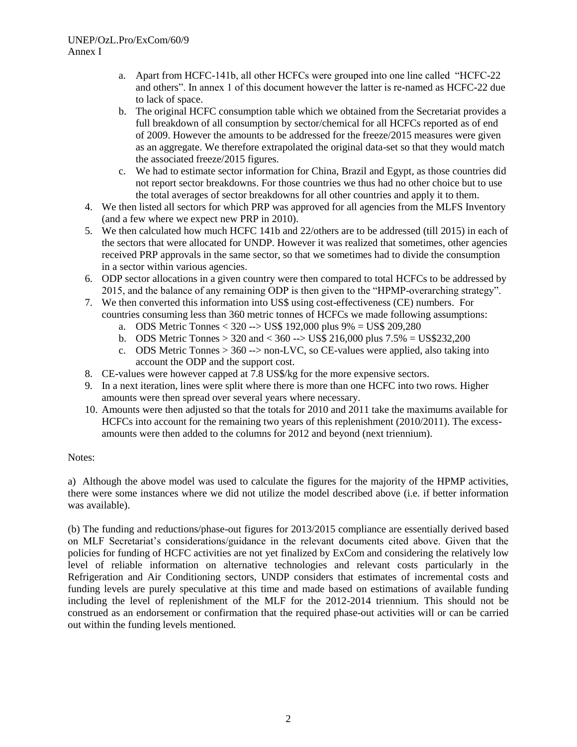# UNEP/OzL.Pro/ExCom/60/9 Annex I

- a. Apart from HCFC-141b, all other HCFCs were grouped into one line called "HCFC-22 and others". In annex 1 of this document however the latter is re-named as HCFC-22 due to lack of space.
- b. The original HCFC consumption table which we obtained from the Secretariat provides a full breakdown of all consumption by sector/chemical for all HCFCs reported as of end of 2009. However the amounts to be addressed for the freeze/2015 measures were given as an aggregate. We therefore extrapolated the original data-set so that they would match the associated freeze/2015 figures.
- c. We had to estimate sector information for China, Brazil and Egypt, as those countries did not report sector breakdowns. For those countries we thus had no other choice but to use the total averages of sector breakdowns for all other countries and apply it to them.
- 4. We then listed all sectors for which PRP was approved for all agencies from the MLFS Inventory (and a few where we expect new PRP in 2010).
- 5. We then calculated how much HCFC 141b and 22/others are to be addressed (till 2015) in each of the sectors that were allocated for UNDP. However it was realized that sometimes, other agencies received PRP approvals in the same sector, so that we sometimes had to divide the consumption in a sector within various agencies.
- 6. ODP sector allocations in a given country were then compared to total HCFCs to be addressed by 2015, and the balance of any remaining ODP is then given to the "HPMP-overarching strategy".
- 7. We then converted this information into US\$ using cost-effectiveness (CE) numbers. For countries consuming less than 360 metric tonnes of HCFCs we made following assumptions:
	- a. ODS Metric Tonnes < 320 --> US\$ 192,000 plus 9% = US\$ 209,280
	- b. ODS Metric Tonnes  $> 320$  and  $< 360$  -- $>$  US\$ 216,000 plus 7.5% = US\$232,200
	- c. ODS Metric Tonnes  $> 360$  -- $>$  non-LVC, so CE-values were applied, also taking into account the ODP and the support cost.
- 8. CE-values were however capped at 7.8 US\$/kg for the more expensive sectors.
- 9. In a next iteration, lines were split where there is more than one HCFC into two rows. Higher amounts were then spread over several years where necessary.
- 10. Amounts were then adjusted so that the totals for 2010 and 2011 take the maximums available for HCFCs into account for the remaining two years of this replenishment (2010/2011). The excessamounts were then added to the columns for 2012 and beyond (next triennium).

## Notes:

a) Although the above model was used to calculate the figures for the majority of the HPMP activities, there were some instances where we did not utilize the model described above (i.e. if better information was available).

(b) The funding and reductions/phase-out figures for 2013/2015 compliance are essentially derived based on MLF Secretariat"s considerations/guidance in the relevant documents cited above. Given that the policies for funding of HCFC activities are not yet finalized by ExCom and considering the relatively low level of reliable information on alternative technologies and relevant costs particularly in the Refrigeration and Air Conditioning sectors, UNDP considers that estimates of incremental costs and funding levels are purely speculative at this time and made based on estimations of available funding including the level of replenishment of the MLF for the 2012-2014 triennium. This should not be construed as an endorsement or confirmation that the required phase-out activities will or can be carried out within the funding levels mentioned.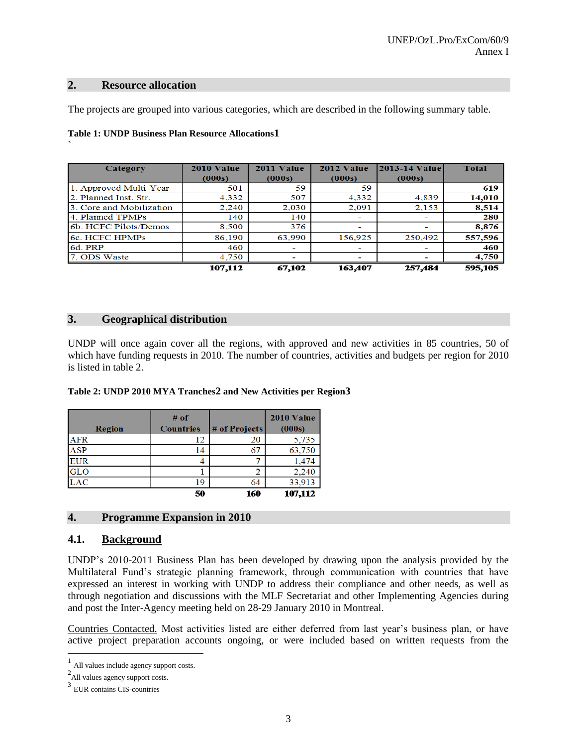#### **2. Resource allocation**

`

The projects are grouped into various categories, which are described in the following summary table.

| Category                 | 2010 Value | 2011 Value | 2012 Value | 2013-14 Value | <b>Total</b> |
|--------------------------|------------|------------|------------|---------------|--------------|
|                          | (000s)     | (000s)     | (000s)     | (000s)        |              |
| 1. Approved Multi-Year   | 501        | 59         | 59         | -             | 619          |
| 2. Planned Inst. Str.    | 4,332      | 507        | 4,332      | 4,839         | 14,010       |
| 3. Core and Mobilization | 2,240      | 2,030      | 2,091      | 2,153         | 8,514        |
| 4. Planned TPMPs         | 140        | 140        | -          | ۰             | 280          |
| 6b. HCFC Pilots/Demos    | 8,500      | 376        |            | ۰             | 8,876        |
| 6c. HCFC HPMPs           | 86,190     | 63,990     | 156,925    | 250,492       | 557,596      |
| 6d. PRP                  | 460        |            |            |               | 460          |
| 7. ODS Waste             | 4,750      |            |            | -             | 4,750        |
|                          | 107.112    | 67,102     | 163,407    | 257,484       | 595,105      |

## **Table 1: UNDP Business Plan Resource Allocations1**

# **3. Geographical distribution**

UNDP will once again cover all the regions, with approved and new activities in 85 countries, 50 of which have funding requests in 2010. The number of countries, activities and budgets per region for 2010 is listed in table 2.

## **Table 2: UNDP 2010 MYA Tranches2 and New Activities per Region3**

|            | $#$ of           |               | 2010 Value |
|------------|------------------|---------------|------------|
| Region     | <b>Countries</b> | # of Projects | (000s)     |
| <b>AFR</b> | 12               | 20            | 5,735      |
| <b>ASP</b> | 14               |               | 63,750     |
| <b>EUR</b> |                  |               | 1,474      |
| <b>GLO</b> |                  | 2             | 2,240      |
| <b>LAC</b> | 19               | 64            | 33,913     |
|            | 50               | 160           | 107,112    |

# **4. Programme Expansion in 2010**

# **4.1. Background**

UNDP"s 2010-2011 Business Plan has been developed by drawing upon the analysis provided by the Multilateral Fund"s strategic planning framework, through communication with countries that have expressed an interest in working with UNDP to address their compliance and other needs, as well as through negotiation and discussions with the MLF Secretariat and other Implementing Agencies during and post the Inter-Agency meeting held on 28-29 January 2010 in Montreal.

Countries Contacted. Most activities listed are either deferred from last year"s business plan, or have active project preparation accounts ongoing, or were included based on written requests from the

l

<sup>1</sup> All values include agency support costs.

<sup>&</sup>lt;sup>2</sup>All values agency support costs.

<sup>3</sup> EUR contains CIS-countries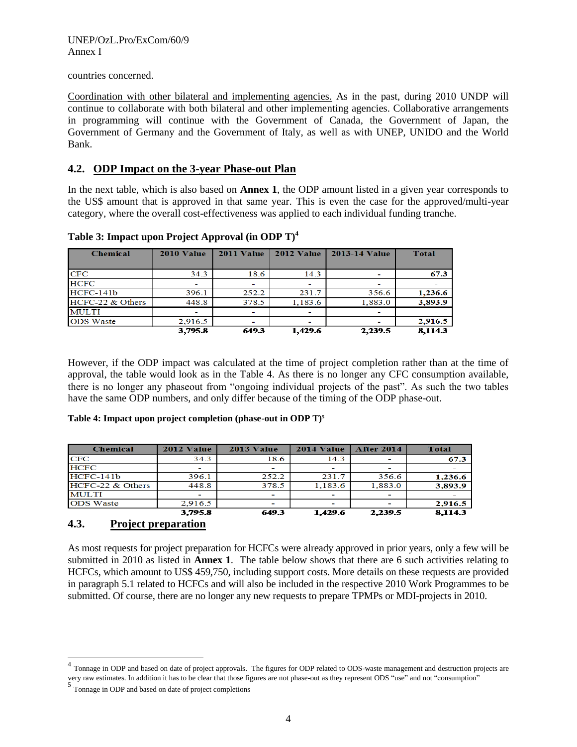countries concerned.

Coordination with other bilateral and implementing agencies. As in the past, during 2010 UNDP will continue to collaborate with both bilateral and other implementing agencies. Collaborative arrangements in programming will continue with the Government of Canada, the Government of Japan, the Government of Germany and the Government of Italy, as well as with UNEP, UNIDO and the World Bank.

# **4.2. ODP Impact on the 3-year Phase-out Plan**

In the next table, which is also based on **Annex 1**, the ODP amount listed in a given year corresponds to the US\$ amount that is approved in that same year. This is even the case for the approved/multi-year category, where the overall cost-effectiveness was applied to each individual funding tranche.

| <b>Chemical</b>    | 2010 Value | 2011 Value | 2012 Value | <b>2013-14 Value</b> | <b>Total</b> |
|--------------------|------------|------------|------------|----------------------|--------------|
| CFC                | 34.3       | 18.6       | 14.3       |                      | 67.3         |
| <b>HCFC</b>        |            |            |            |                      |              |
| $HCFC-141b$        | 396.1      | 252.2      | 231.7      | 356.6                | 1,236.6      |
| $HCFC-22$ & Others | 448.8      | 378.5      | 1,183.6    | 1,883.0              | 3,893.9      |
| <b>MULTI</b>       |            |            |            |                      |              |
| <b>ODS</b> Waste   | 2,916.5    |            |            |                      | 2,916.5      |
|                    | 3,795.8    | 649.3      | 1,429.6    | 2,239.5              | 8,114.3      |

**Table 3: Impact upon Project Approval (in ODP T)<sup>4</sup>**

However, if the ODP impact was calculated at the time of project completion rather than at the time of approval, the table would look as in the Table 4. As there is no longer any CFC consumption available, there is no longer any phaseout from "ongoing individual projects of the past". As such the two tables have the same ODP numbers, and only differ because of the timing of the ODP phase-out.

**Table 4: Impact upon project completion (phase-out in ODP T)<sup>5</sup>**

| <b>Chemical</b>  | 2012 Value | 2013 Value | 2014 Value               | <b>After 2014</b> | Total   |
|------------------|------------|------------|--------------------------|-------------------|---------|
| <b>CFC</b>       | 34.3       | 18.6       | 14.3                     |                   | 67.3    |
| <b>HCFC</b>      | ۰          |            |                          |                   |         |
| $HCFC-141b$      | 396.1      | 252.2      | 231.7                    | 356.6             | 1,236.6 |
| HCFC-22 & Others | 448.8      | 378.5      | 1,183.6                  | 1,883.0           | 3,893.9 |
| <b>MULTI</b>     | ۰          | -          | $\overline{\phantom{0}}$ |                   |         |
| <b>ODS</b> Waste | 2,916.5    |            |                          |                   | 2,916.5 |
|                  | 3,795.8    | 649.3      | 1.429.6                  | 2.239.5           | 8,114.3 |

# **4.3. Project preparation**

 $\overline{a}$ 

As most requests for project preparation for HCFCs were already approved in prior years, only a few will be submitted in 2010 as listed in **Annex 1**. The table below shows that there are 6 such activities relating to HCFCs, which amount to US\$ 459,750, including support costs. More details on these requests are provided in paragraph 5.1 related to HCFCs and will also be included in the respective 2010 Work Programmes to be submitted. Of course, there are no longer any new requests to prepare TPMPs or MDI-projects in 2010.

<sup>4</sup> Tonnage in ODP and based on date of project approvals. The figures for ODP related to ODS-waste management and destruction projects are very raw estimates. In addition it has to be clear that those figures are not phase-out as they represent ODS "use" and not "consumption"

<sup>&</sup>lt;sup>5</sup> Tonnage in ODP and based on date of project completions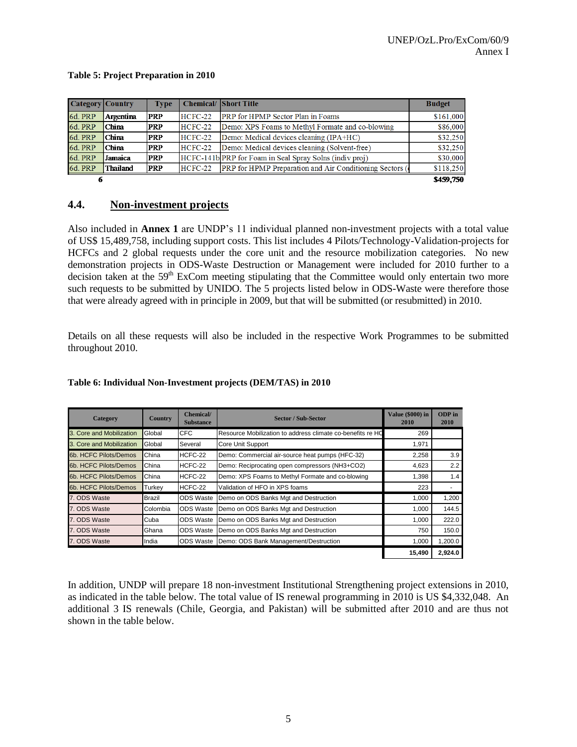#### **Table 5: Project Preparation in 2010**

| Category Country |                 | <b>Type</b> |           | <b>Chemical/ Short Title</b>                                   | <b>Budget</b> |
|------------------|-----------------|-------------|-----------|----------------------------------------------------------------|---------------|
| 6d. PRP          | Argentina       | <b>PRP</b>  | $HCFC-22$ | <b>PRP</b> for HPMP Sector Plan in Foams                       | \$161,000     |
| 6d. PRP          | <b>China</b>    | <b>PRP</b>  | $HCFC-22$ | Demo: XPS Foams to Methyl Formate and co-blowing               | \$86,000      |
| 6d. PRP          | <b>China</b>    | <b>PRP</b>  | $HCFC-22$ | Demo: Medical devices cleaning (IPA+HC)                        | \$32,250      |
| 6d. PRP          | <b>China</b>    | <b>PRP</b>  | $HCFC-22$ | Demo: Medical devices cleaning (Solvent-free)                  | \$32,250      |
| 6d. PRP          | Jamaica         | <b>PRP</b>  |           | HCFC-141b PRP for Foam in Seal Spray Solns (indiv proj)        | \$30,000      |
| 6d. PRP          | <b>Thailand</b> | <b>PRP</b>  | $HCFC-22$ | <b>PRP</b> for HPMP Preparation and Air Conditioning Sectors ( | \$118,250     |
|                  |                 |             |           |                                                                | \$459.750     |

# **4.4. Non-investment projects**

Also included in **Annex 1** are UNDP"s 11 individual planned non-investment projects with a total value of US\$ 15,489,758, including support costs. This list includes 4 Pilots/Technology-Validation-projects for HCFCs and 2 global requests under the core unit and the resource mobilization categories. No new demonstration projects in ODS-Waste Destruction or Management were included for 2010 further to a decision taken at the 59<sup>th</sup> ExCom meeting stipulating that the Committee would only entertain two more such requests to be submitted by UNIDO. The 5 projects listed below in ODS-Waste were therefore those that were already agreed with in principle in 2009, but that will be submitted (or resubmitted) in 2010.

Details on all these requests will also be included in the respective Work Programmes to be submitted throughout 2010.

| Category                 | <b>Country</b> | <b>Chemical</b> /<br><b>Substance</b> | <b>Sector / Sub-Sector</b>                                 | Value (\$000) in<br>2010 | ODP in<br>2010 |
|--------------------------|----------------|---------------------------------------|------------------------------------------------------------|--------------------------|----------------|
| 3. Core and Mobilization | Global         | <b>CFC</b>                            | Resource Mobilization to address climate co-benefits re HO | 269                      |                |
| 3. Core and Mobilization | Global         | Several                               | Core Unit Support                                          | 1,971                    |                |
| 6b. HCFC Pilots/Demos    | China          | HCFC-22                               | Demo: Commercial air-source heat pumps (HFC-32)            | 2,258                    | 3.9            |
| 6b. HCFC Pilots/Demos    | China          | HCFC-22                               | Demo: Reciprocating open compressors (NH3+CO2)             | 4,623                    | 2.2            |
| 6b. HCFC Pilots/Demos    | China          | HCFC-22                               | Demo: XPS Foams to Methyl Formate and co-blowing           | 1,398                    | 1.4            |
| 6b. HCFC Pilots/Demos    | Turkey         | HCFC-22                               | Validation of HFO in XPS foams                             | 223                      | ۰              |
| 7. ODS Waste             | Brazil         | <b>ODS Waste</b>                      | Demo on ODS Banks Mgt and Destruction                      | 1,000                    | 1,200          |
| 7. ODS Waste             | Colombia       | <b>ODS Waste</b>                      | Demo on ODS Banks Mgt and Destruction                      | 1,000                    | 144.5          |
| 7. ODS Waste             | Cuba           | <b>ODS Waste</b>                      | Demo on ODS Banks Mgt and Destruction                      | 1,000                    | 222.0          |
| 7. ODS Waste             | Ghana          | <b>ODS Waste</b>                      | Demo on ODS Banks Mgt and Destruction                      | 750                      | 150.0          |
| 7. ODS Waste             | India          |                                       | ODS Waste Demo: ODS Bank Management/Destruction            | 1,000                    | 1,200.0        |
|                          |                |                                       |                                                            | 15,490                   | 2,924.0        |

#### **Table 6: Individual Non-Investment projects (DEM/TAS) in 2010**

In addition, UNDP will prepare 18 non-investment Institutional Strengthening project extensions in 2010, as indicated in the table below. The total value of IS renewal programming in 2010 is US \$4,332,048. An additional 3 IS renewals (Chile, Georgia, and Pakistan) will be submitted after 2010 and are thus not shown in the table below.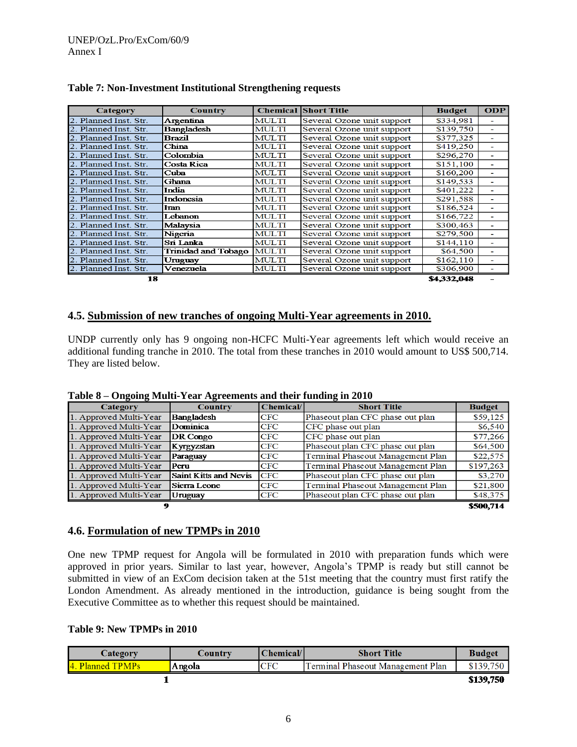| Category              | Country             |              | <b>Chemical Short Title</b> | <b>Budget</b> | <b>ODP</b>               |
|-----------------------|---------------------|--------------|-----------------------------|---------------|--------------------------|
| 2. Planned Inst. Str. | Argentina           | <b>MULTI</b> | Several Ozone unit support  | \$334,981     |                          |
| 2. Planned Inst. Str. | <b>Bangladesh</b>   | <b>MULTI</b> | Several Ozone unit support  | \$139,750     | ٠                        |
| 2. Planned Inst. Str. | <b>Brazil</b>       | <b>MULTI</b> | Several Ozone unit support  | \$377,325     | ٠                        |
| 2. Planned Inst. Str. | China               | <b>MULTI</b> | Several Ozone unit support  | \$419,250     | -                        |
| 2. Planned Inst. Str. | Colombia            | <b>MULTI</b> | Several Ozone unit support  | \$296,270     | ٠                        |
| 2. Planned Inst. Str. | Costa Rica          | <b>MULTI</b> | Several Ozone unit support  | \$151,100     | ٠                        |
| 2. Planned Inst. Str. | Cuba                | <b>MULTI</b> | Several Ozone unit support  | \$160,200     | ٠                        |
| 2. Planned Inst. Str. | Ghana               | <b>MULTI</b> | Several Ozone unit support  | \$149,533     | -                        |
| 2. Planned Inst. Str. | India               | <b>MULTI</b> | Several Ozone unit support  | \$401,222     | ٠                        |
| 2. Planned Inst. Str. | Indonesia           | <b>MULTI</b> | Several Ozone unit support  | \$291,588     | ٠                        |
| 2. Planned Inst. Str. | Iran                | <b>MULTI</b> | Several Ozone unit support  | \$186,524     | ٠                        |
| 2. Planned Inst. Str. | Lebanon             | <b>MULTI</b> | Several Ozone unit support  | \$166,722     | ٠                        |
| 2. Planned Inst. Str. | Malaysia            | <b>MULTI</b> | Several Ozone unit support  | \$300,463     | $\overline{\phantom{0}}$ |
| 2. Planned Inst. Str. | Nigeria             | <b>MULTI</b> | Several Ozone unit support  | \$279,500     | ٠                        |
| 2. Planned Inst. Str. | Sri Lanka           | <b>MULTI</b> | Several Ozone unit support  | \$144,110     | ٠                        |
| 2. Planned Inst. Str. | Trinidad and Tobago | <b>MULTI</b> | Several Ozone unit support  | \$64,500      | ٠                        |
| 2. Planned Inst. Str. | Uruguay             | <b>MULTI</b> | Several Ozone unit support  | \$162,110     | ٠                        |
| 2. Planned Inst. Str. | Venezuela           | <b>MULTI</b> | Several Ozone unit support  | \$306,900     |                          |
| 18                    |                     |              |                             | \$4,332,048   |                          |

# **Table 7: Non-Investment Institutional Strengthening requests**

# **4.5. Submission of new tranches of ongoing Multi-Year agreements in 2010.**

UNDP currently only has 9 ongoing non-HCFC Multi-Year agreements left which would receive an additional funding tranche in 2010. The total from these tranches in 2010 would amount to US\$ 500,714. They are listed below.

| Category               | <b>Country</b>        | Chemical | <b>Short Title</b>                | <b>Budget</b> |
|------------------------|-----------------------|----------|-----------------------------------|---------------|
| 1. Approved Multi-Year | <b>Bangladesh</b>     | CFC      | Phaseout plan CFC phase out plan  | \$59,125      |
| 1. Approved Multi-Year | Dominica              | CFC      | CFC phase out plan                | \$6,540       |
| 1. Approved Multi-Year | DR Congo              | CFC      | CFC phase out plan                | \$77,266      |
| 1. Approved Multi-Year | Kyrgyzstan            | CFC      | Phaseout plan CFC phase out plan  | \$64,500      |
| 1. Approved Multi-Year | Paraguay              | CFC      | Terminal Phaseout Management Plan | \$22,575      |
| 1. Approved Multi-Year | Peru                  | CFC      | Terminal Phaseout Management Plan | \$197,263     |
| 1. Approved Multi-Year | Saint Kitts and Nevis | CFC      | Phaseout plan CFC phase out plan  | \$3,270       |
| 1. Approved Multi-Year | Sierra Leone          | CFC      | Terminal Phaseout Management Plan | \$21,800      |
| 1. Approved Multi-Year | Uruguay               | CFC      | Phaseout plan CFC phase out plan  | \$48,375      |
| \$500,714<br>9         |                       |          |                                   |               |

**Table 8 – Ongoing Multi-Year Agreements and their funding in 2010**

\$500,714

# **4.6. Formulation of new TPMPs in 2010**

One new TPMP request for Angola will be formulated in 2010 with preparation funds which were approved in prior years. Similar to last year, however, Angola"s TPMP is ready but still cannot be submitted in view of an ExCom decision taken at the 51st meeting that the country must first ratify the London Amendment. As already mentioned in the introduction, guidance is being sought from the Executive Committee as to whether this request should be maintained.

#### **Table 9: New TPMPs in 2010**

| Category             | $\angle$ ountry | Chemical   | <b>Short Title</b>                | <b>Budget</b> |
|----------------------|-----------------|------------|-----------------------------------|---------------|
| <b>Planned TPMPs</b> | Angola          | <b>CFC</b> | Terminal Phaseout Management Plan | \$139,750     |
|                      |                 |            |                                   | \$139,750     |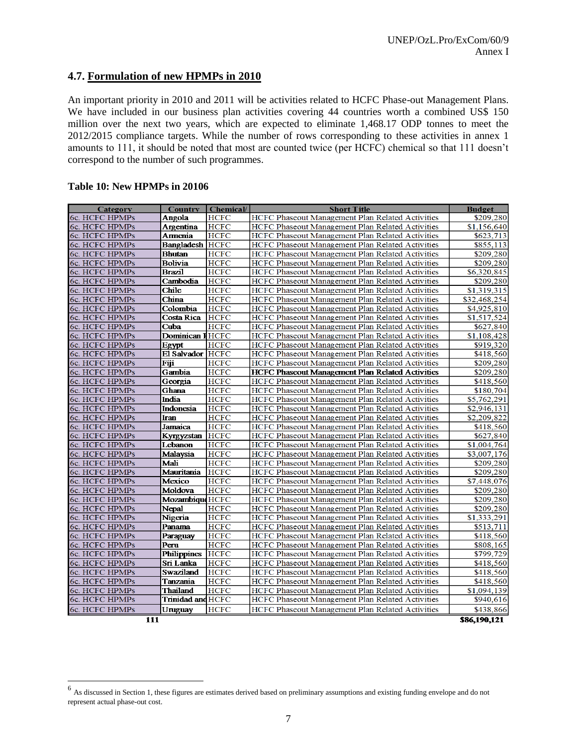# **4.7. Formulation of new HPMPs in 2010**

An important priority in 2010 and 2011 will be activities related to HCFC Phase-out Management Plans. We have included in our business plan activities covering 44 countries worth a combined US\$ 150 million over the next two years, which are expected to eliminate 1,468.17 ODP tonnes to meet the 2012/2015 compliance targets. While the number of rows corresponding to these activities in annex 1 amounts to 111, it should be noted that most are counted twice (per HCFC) chemical so that 111 doesn"t correspond to the number of such programmes.

#### **Table 10: New HPMPs in 20106**

l

| Category              | <b>Country</b>           | <b>Chemical</b> | <b>Short Title</b>                                      | <b>Budget</b> |
|-----------------------|--------------------------|-----------------|---------------------------------------------------------|---------------|
| 6c. HCFC HPMPs        | Angola                   | <b>HCFC</b>     | HCFC Phaseout Management Plan Related Activities        | \$209,280     |
| 6c. HCFC HPMPs        | Argentina                | <b>HCFC</b>     | HCFC Phaseout Management Plan Related Activities        | \$1,156,640   |
| 6c. HCFC HPMPs        | Armenia                  | <b>HCFC</b>     | HCFC Phaseout Management Plan Related Activities        | \$623,713     |
| 6c. HCFC HPMPs        | <b>Bangladesh HCFC</b>   |                 | HCFC Phaseout Management Plan Related Activities        | \$855,113     |
| 6c. HCFC HPMPs        | <b>Bhutan</b>            | <b>HCFC</b>     | HCFC Phaseout Management Plan Related Activities        | \$209,280     |
| 6c. HCFC HPMPs        | <b>Bolivia</b>           | <b>HCFC</b>     | HCFC Phaseout Management Plan Related Activities        | \$209,280     |
| 6c. HCFC HPMPs        | <b>Brazil</b>            | <b>HCFC</b>     | HCFC Phaseout Management Plan Related Activities        | \$6,320,845   |
| 6c. HCFC HPMPs        | Cambodia                 | <b>HCFC</b>     | HCFC Phaseout Management Plan Related Activities        | \$209,280     |
| 6c. HCFC HPMPs        | <b>Chile</b>             | <b>HCFC</b>     | HCFC Phaseout Management Plan Related Activities        | \$1,319,315   |
| 6c. HCFC HPMPs        | China                    | <b>HCFC</b>     | HCFC Phaseout Management Plan Related Activities        | \$32,468,254  |
| 6c. HCFC HPMPs        | Colombia                 | <b>HCFC</b>     | <b>HCFC Phaseout Management Plan Related Activities</b> | \$4,925,810   |
| 6c. HCFC HPMPs        | <b>Costa Rica</b>        | <b>HCFC</b>     | HCFC Phaseout Management Plan Related Activities        | \$1,517,524   |
| 6c. HCFC HPMPs        | Cuba                     | <b>HCFC</b>     | HCFC Phaseout Management Plan Related Activities        | \$627,840     |
| 6c. HCFC HPMPs        | <b>Dominican HHCFC</b>   |                 | HCFC Phaseout Management Plan Related Activities        | \$1,108,428   |
| 6c. HCFC HPMPs        | Egypt                    | <b>HCFC</b>     | HCFC Phaseout Management Plan Related Activities        | \$919,320     |
| 6c. HCFC HPMPs        | El Salvador HCFC         |                 | HCFC Phaseout Management Plan Related Activities        | \$418,560     |
| 6c. HCFC HPMPs        | Fiji                     | <b>HCFC</b>     | HCFC Phaseout Management Plan Related Activities        | \$209,280     |
| 6c. HCFC HPMPs        | Gambia                   | <b>HCFC</b>     | <b>HCFC Phaseout Management Plan Related Activities</b> | \$209,280     |
| <b>6c. HCFC HPMPs</b> | Georgia                  | <b>HCFC</b>     | HCFC Phaseout Management Plan Related Activities        | \$418,560     |
| 6c. HCFC HPMPs        | Ghana                    | <b>HCFC</b>     | HCFC Phaseout Management Plan Related Activities        | \$180,704     |
| 6c. HCFC HPMPs        | India                    | <b>HCFC</b>     | HCFC Phaseout Management Plan Related Activities        | \$5,762,291   |
| 6c. HCFC HPMPs        | Indonesia                | <b>HCFC</b>     | HCFC Phaseout Management Plan Related Activities        | \$2,946,131   |
| 6c. HCFC HPMPs        | Iran                     | <b>HCFC</b>     | HCFC Phaseout Management Plan Related Activities        | \$2,209,822   |
| 6c. HCFC HPMPs        | Jamaica                  | <b>HCFC</b>     | HCFC Phaseout Management Plan Related Activities        | \$418,560     |
| 6c. HCFC HPMPs        | Kyrgyzstan               | <b>HCFC</b>     | HCFC Phaseout Management Plan Related Activities        | \$627,840     |
| 6c. HCFC HPMPs        | Lebanon                  | <b>HCFC</b>     | HCFC Phaseout Management Plan Related Activities        | \$1,004,764   |
| 6c. HCFC HPMPs        | Malaysia                 | <b>HCFC</b>     | HCFC Phaseout Management Plan Related Activities        | \$3,007,176   |
| 6c. HCFC HPMPs        | Mali                     | <b>HCFC</b>     | HCFC Phaseout Management Plan Related Activities        | \$209,280     |
| 6c. HCFC HPMPs        | Mauritania               | <b>HCFC</b>     | HCFC Phaseout Management Plan Related Activities        | \$209,280     |
| 6c. HCFC HPMPs        | Mexico                   | <b>HCFC</b>     | HCFC Phaseout Management Plan Related Activities        | \$7,448,076   |
| 6c. HCFC HPMPs        | Moldova                  | <b>HCFC</b>     | HCFC Phaseout Management Plan Related Activities        | \$209,280     |
| 6c. HCFC HPMPs        | Mozambique HCFC          |                 | HCFC Phaseout Management Plan Related Activities        | \$209,280     |
| 6c. HCFC HPMPs        | <b>Nepal</b>             | <b>HCFC</b>     | HCFC Phaseout Management Plan Related Activities        | \$209,280     |
| 6c. HCFC HPMPs        | Nigeria                  | <b>HCFC</b>     | HCFC Phaseout Management Plan Related Activities        | \$1,333,291   |
| 6c. HCFC HPMPs        | Panama                   | <b>HCFC</b>     | HCFC Phaseout Management Plan Related Activities        | \$513,711     |
| 6c. HCFC HPMPs        | Paraguay                 | <b>HCFC</b>     | HCFC Phaseout Management Plan Related Activities        | \$418,560     |
| 6c. HCFC HPMPs        | Peru                     | <b>HCFC</b>     | HCFC Phaseout Management Plan Related Activities        | \$808,165     |
| 6c. HCFC HPMPs        | <b>Philippines</b>       | <b>HCFC</b>     | HCFC Phaseout Management Plan Related Activities        | \$799,729     |
| 6c. HCFC HPMPs        | Sri Lanka                | <b>HCFC</b>     | HCFC Phaseout Management Plan Related Activities        | \$418,560     |
| 6c. HCFC HPMPs        | <b>Swaziland</b>         | <b>HCFC</b>     | HCFC Phaseout Management Plan Related Activities        | \$418,560     |
| 6c. HCFC HPMPs        | Tanzania                 | <b>HCFC</b>     | HCFC Phaseout Management Plan Related Activities        | \$418,560     |
| 6c. HCFC HPMPs        | <b>Thailand</b>          | <b>HCFC</b>     | HCFC Phaseout Management Plan Related Activities        | \$1,094,139   |
| 6c. HCFC HPMPs        | Trinidad and <b>HCFC</b> |                 | HCFC Phaseout Management Plan Related Activities        | \$940,616     |
| 6c. HCFC HPMPs        | Uruguay                  | <b>HCFC</b>     | HCFC Phaseout Management Plan Related Activities        | \$438,866     |
| 111                   |                          |                 |                                                         | \$86,190,121  |

 $<sup>6</sup>$  As discussed in Section 1, these figures are estimates derived based on preliminary assumptions and existing funding envelope and do not</sup> represent actual phase-out cost.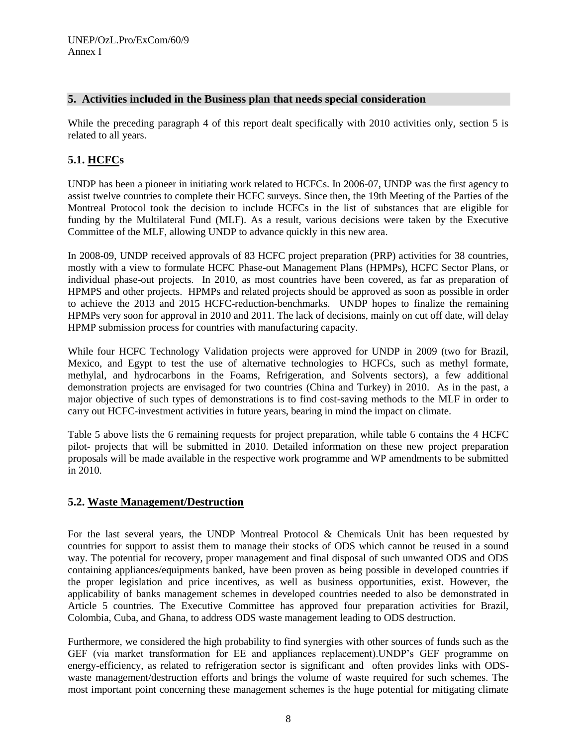# **5. Activities included in the Business plan that needs special consideration**

While the preceding paragraph 4 of this report dealt specifically with 2010 activities only, section 5 is related to all years.

# **5.1. HCFCs**

UNDP has been a pioneer in initiating work related to HCFCs. In 2006-07, UNDP was the first agency to assist twelve countries to complete their HCFC surveys. Since then, the 19th Meeting of the Parties of the Montreal Protocol took the decision to include HCFCs in the list of substances that are eligible for funding by the Multilateral Fund (MLF). As a result, various decisions were taken by the Executive Committee of the MLF, allowing UNDP to advance quickly in this new area.

In 2008-09, UNDP received approvals of 83 HCFC project preparation (PRP) activities for 38 countries, mostly with a view to formulate HCFC Phase-out Management Plans (HPMPs), HCFC Sector Plans, or individual phase-out projects. In 2010, as most countries have been covered, as far as preparation of HPMPS and other projects. HPMPs and related projects should be approved as soon as possible in order to achieve the 2013 and 2015 HCFC-reduction-benchmarks. UNDP hopes to finalize the remaining HPMPs very soon for approval in 2010 and 2011. The lack of decisions, mainly on cut off date, will delay HPMP submission process for countries with manufacturing capacity.

While four HCFC Technology Validation projects were approved for UNDP in 2009 (two for Brazil, Mexico, and Egypt to test the use of alternative technologies to HCFCs, such as methyl formate, methylal, and hydrocarbons in the Foams, Refrigeration, and Solvents sectors), a few additional demonstration projects are envisaged for two countries (China and Turkey) in 2010. As in the past, a major objective of such types of demonstrations is to find cost-saving methods to the MLF in order to carry out HCFC-investment activities in future years, bearing in mind the impact on climate.

Table 5 above lists the 6 remaining requests for project preparation, while table 6 contains the 4 HCFC pilot- projects that will be submitted in 2010. Detailed information on these new project preparation proposals will be made available in the respective work programme and WP amendments to be submitted in 2010.

# **5.2. Waste Management/Destruction**

For the last several years, the UNDP Montreal Protocol & Chemicals Unit has been requested by countries for support to assist them to manage their stocks of ODS which cannot be reused in a sound way. The potential for recovery, proper management and final disposal of such unwanted ODS and ODS containing appliances/equipments banked, have been proven as being possible in developed countries if the proper legislation and price incentives, as well as business opportunities, exist. However, the applicability of banks management schemes in developed countries needed to also be demonstrated in Article 5 countries. The Executive Committee has approved four preparation activities for Brazil, Colombia, Cuba, and Ghana, to address ODS waste management leading to ODS destruction.

Furthermore, we considered the high probability to find synergies with other sources of funds such as the GEF (via market transformation for EE and appliances replacement).UNDP"s GEF programme on energy-efficiency, as related to refrigeration sector is significant and often provides links with ODSwaste management/destruction efforts and brings the volume of waste required for such schemes. The most important point concerning these management schemes is the huge potential for mitigating climate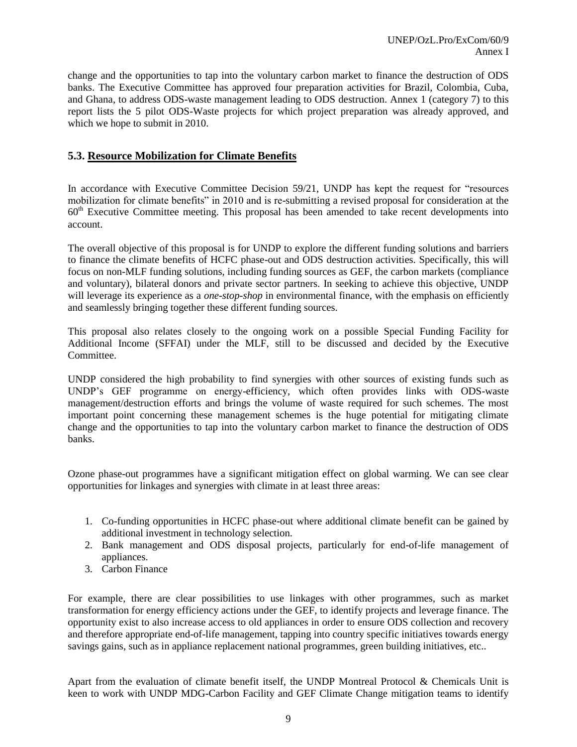change and the opportunities to tap into the voluntary carbon market to finance the destruction of ODS banks. The Executive Committee has approved four preparation activities for Brazil, Colombia, Cuba, and Ghana, to address ODS-waste management leading to ODS destruction. Annex 1 (category 7) to this report lists the 5 pilot ODS-Waste projects for which project preparation was already approved, and which we hope to submit in 2010.

# **5.3. Resource Mobilization for Climate Benefits**

In accordance with Executive Committee Decision 59/21, UNDP has kept the request for "resources mobilization for climate benefits" in 2010 and is re-submitting a revised proposal for consideration at the 60th Executive Committee meeting. This proposal has been amended to take recent developments into account.

The overall objective of this proposal is for UNDP to explore the different funding solutions and barriers to finance the climate benefits of HCFC phase-out and ODS destruction activities. Specifically, this will focus on non-MLF funding solutions, including funding sources as GEF, the carbon markets (compliance and voluntary), bilateral donors and private sector partners. In seeking to achieve this objective, UNDP will leverage its experience as a *one-stop-shop* in environmental finance, with the emphasis on efficiently and seamlessly bringing together these different funding sources.

This proposal also relates closely to the ongoing work on a possible Special Funding Facility for Additional Income (SFFAI) under the MLF, still to be discussed and decided by the Executive **Committee** 

UNDP considered the high probability to find synergies with other sources of existing funds such as UNDP"s GEF programme on energy-efficiency, which often provides links with ODS-waste management/destruction efforts and brings the volume of waste required for such schemes. The most important point concerning these management schemes is the huge potential for mitigating climate change and the opportunities to tap into the voluntary carbon market to finance the destruction of ODS banks.

Ozone phase-out programmes have a significant mitigation effect on global warming. We can see clear opportunities for linkages and synergies with climate in at least three areas:

- 1. Co-funding opportunities in HCFC phase-out where additional climate benefit can be gained by additional investment in technology selection.
- 2. Bank management and ODS disposal projects, particularly for end-of-life management of appliances.
- 3. Carbon Finance

For example, there are clear possibilities to use linkages with other programmes, such as market transformation for energy efficiency actions under the GEF, to identify projects and leverage finance. The opportunity exist to also increase access to old appliances in order to ensure ODS collection and recovery and therefore appropriate end-of-life management, tapping into country specific initiatives towards energy savings gains, such as in appliance replacement national programmes, green building initiatives, etc..

Apart from the evaluation of climate benefit itself, the UNDP Montreal Protocol & Chemicals Unit is keen to work with UNDP MDG-Carbon Facility and GEF Climate Change mitigation teams to identify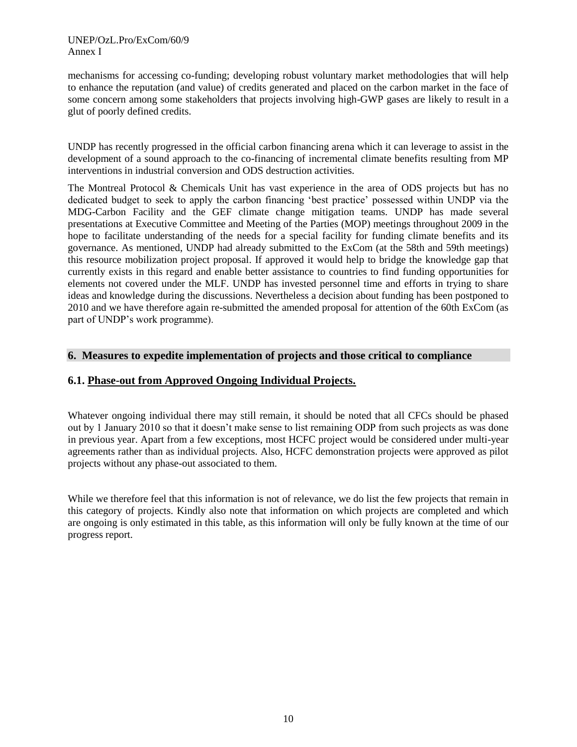## UNEP/OzL.Pro/ExCom/60/9 Annex I

mechanisms for accessing co-funding; developing robust voluntary market methodologies that will help to enhance the reputation (and value) of credits generated and placed on the carbon market in the face of some concern among some stakeholders that projects involving high-GWP gases are likely to result in a glut of poorly defined credits.

UNDP has recently progressed in the official carbon financing arena which it can leverage to assist in the development of a sound approach to the co-financing of incremental climate benefits resulting from MP interventions in industrial conversion and ODS destruction activities.

The Montreal Protocol & Chemicals Unit has vast experience in the area of ODS projects but has no dedicated budget to seek to apply the carbon financing "best practice" possessed within UNDP via the MDG-Carbon Facility and the GEF climate change mitigation teams. UNDP has made several presentations at Executive Committee and Meeting of the Parties (MOP) meetings throughout 2009 in the hope to facilitate understanding of the needs for a special facility for funding climate benefits and its governance. As mentioned, UNDP had already submitted to the ExCom (at the 58th and 59th meetings) this resource mobilization project proposal. If approved it would help to bridge the knowledge gap that currently exists in this regard and enable better assistance to countries to find funding opportunities for elements not covered under the MLF. UNDP has invested personnel time and efforts in trying to share ideas and knowledge during the discussions. Nevertheless a decision about funding has been postponed to 2010 and we have therefore again re-submitted the amended proposal for attention of the 60th ExCom (as part of UNDP"s work programme).

# **6. Measures to expedite implementation of projects and those critical to compliance**

# **6.1. Phase-out from Approved Ongoing Individual Projects.**

Whatever ongoing individual there may still remain, it should be noted that all CFCs should be phased out by 1 January 2010 so that it doesn"t make sense to list remaining ODP from such projects as was done in previous year. Apart from a few exceptions, most HCFC project would be considered under multi-year agreements rather than as individual projects. Also, HCFC demonstration projects were approved as pilot projects without any phase-out associated to them.

While we therefore feel that this information is not of relevance, we do list the few projects that remain in this category of projects. Kindly also note that information on which projects are completed and which are ongoing is only estimated in this table, as this information will only be fully known at the time of our progress report.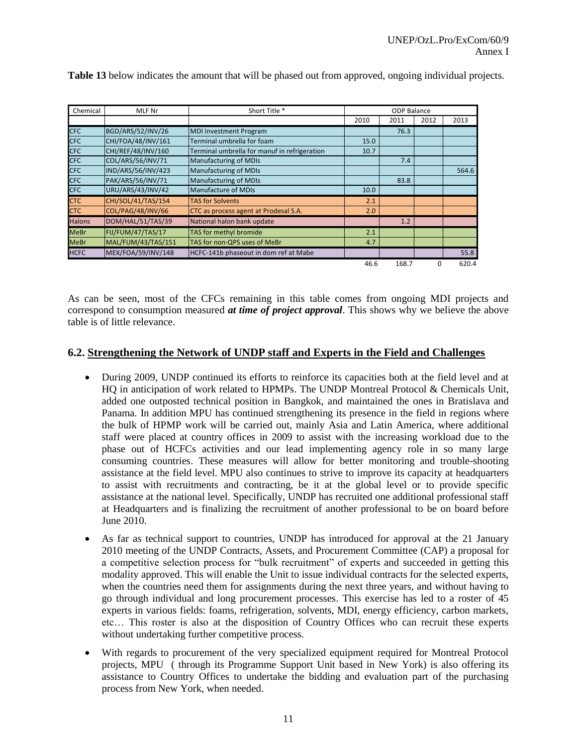| Chemical      | MLF Nr             | Short Title *                                | <b>ODP Balance</b> |       |          |       |
|---------------|--------------------|----------------------------------------------|--------------------|-------|----------|-------|
|               |                    |                                              | 2010               | 2011  | 2012     | 2013  |
| <b>CFC</b>    | BGD/ARS/52/INV/26  | <b>MDI Investment Program</b>                |                    | 76.3  |          |       |
| <b>CFC</b>    | CHI/FOA/48/INV/161 | Terminal umbrella for foam                   | 15.0               |       |          |       |
| <b>CFC</b>    | CHI/REF/48/INV/160 | Terminal umbrella for manuf in refrigeration | 10.7               |       |          |       |
| <b>CFC</b>    | COL/ARS/56/INV/71  | <b>Manufacturing of MDIs</b>                 |                    | 7.4   |          |       |
| <b>CFC</b>    | IND/ARS/56/INV/423 | <b>Manufacturing of MDIs</b>                 |                    |       |          | 564.6 |
| <b>CFC</b>    | PAK/ARS/56/INV/71  | <b>Manufacturing of MDIs</b>                 |                    | 83.8  |          |       |
| <b>CFC</b>    | URU/ARS/43/INV/42  | <b>Manufacture of MDIs</b>                   | 10.0               |       |          |       |
| <b>CTC</b>    | CHI/SOL/41/TAS/154 | <b>TAS for Solvents</b>                      | 2.1                |       |          |       |
| <b>CTC</b>    | COL/PAG/48/INV/66  | CTC as process agent at Prodesal S.A.        | 2.0                |       |          |       |
| <b>Halons</b> | DOM/HAL/51/TAS/39  | National halon bank update                   |                    | 1.2   |          |       |
| <b>MeBr</b>   | FIJ/FUM/47/TAS/17  | TAS for methyl bromide                       | 2.1                |       |          |       |
| <b>MeBr</b>   | MAL/FUM/43/TAS/151 | TAS for non-QPS uses of MeBr                 | 4.7                |       |          |       |
| <b>HCFC</b>   | MEX/FOA/59/INV/148 | HCFC-141b phaseout in dom ref at Mabe        |                    |       |          | 55.8  |
|               |                    |                                              | 46.6               | 168.7 | $\Omega$ | 620.4 |

**Table 13** below indicates the amount that will be phased out from approved, ongoing individual projects.

As can be seen, most of the CFCs remaining in this table comes from ongoing MDI projects and correspond to consumption measured *at time of project approval*. This shows why we believe the above table is of little relevance.

# **6.2. Strengthening the Network of UNDP staff and Experts in the Field and Challenges**

- During 2009, UNDP continued its efforts to reinforce its capacities both at the field level and at HQ in anticipation of work related to HPMPs. The UNDP Montreal Protocol & Chemicals Unit, added one outposted technical position in Bangkok, and maintained the ones in Bratislava and Panama. In addition MPU has continued strengthening its presence in the field in regions where the bulk of HPMP work will be carried out, mainly Asia and Latin America, where additional staff were placed at country offices in 2009 to assist with the increasing workload due to the phase out of HCFCs activities and our lead implementing agency role in so many large consuming countries. These measures will allow for better monitoring and trouble-shooting assistance at the field level. MPU also continues to strive to improve its capacity at headquarters to assist with recruitments and contracting, be it at the global level or to provide specific assistance at the national level. Specifically, UNDP has recruited one additional professional staff at Headquarters and is finalizing the recruitment of another professional to be on board before June 2010.
- As far as technical support to countries, UNDP has introduced for approval at the 21 January 2010 meeting of the UNDP Contracts, Assets, and Procurement Committee (CAP) a proposal for a competitive selection process for "bulk recruitment" of experts and succeeded in getting this modality approved. This will enable the Unit to issue individual contracts for the selected experts, when the countries need them for assignments during the next three years, and without having to go through individual and long procurement processes. This exercise has led to a roster of 45 experts in various fields: foams, refrigeration, solvents, MDI, energy efficiency, carbon markets, etc… This roster is also at the disposition of Country Offices who can recruit these experts without undertaking further competitive process.
- With regards to procurement of the very specialized equipment required for Montreal Protocol projects, MPU ( through its Programme Support Unit based in New York) is also offering its assistance to Country Offices to undertake the bidding and evaluation part of the purchasing process from New York, when needed.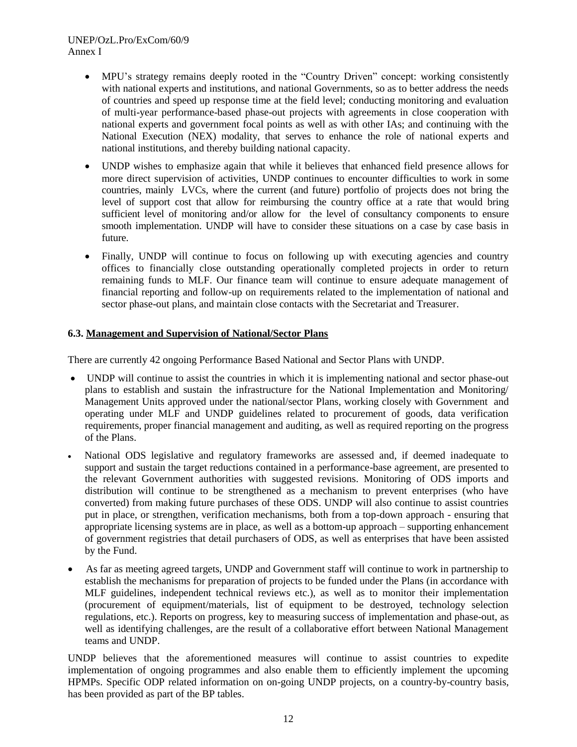# UNEP/OzL.Pro/ExCom/60/9 Annex I

- MPU"s strategy remains deeply rooted in the "Country Driven" concept: working consistently with national experts and institutions, and national Governments, so as to better address the needs of countries and speed up response time at the field level; conducting monitoring and evaluation of multi-year performance-based phase-out projects with agreements in close cooperation with national experts and government focal points as well as with other IAs; and continuing with the National Execution (NEX) modality, that serves to enhance the role of national experts and national institutions, and thereby building national capacity.
- UNDP wishes to emphasize again that while it believes that enhanced field presence allows for more direct supervision of activities, UNDP continues to encounter difficulties to work in some countries, mainly LVCs, where the current (and future) portfolio of projects does not bring the level of support cost that allow for reimbursing the country office at a rate that would bring sufficient level of monitoring and/or allow for the level of consultancy components to ensure smooth implementation. UNDP will have to consider these situations on a case by case basis in future.
- Finally, UNDP will continue to focus on following up with executing agencies and country offices to financially close outstanding operationally completed projects in order to return remaining funds to MLF. Our finance team will continue to ensure adequate management of financial reporting and follow-up on requirements related to the implementation of national and sector phase-out plans, and maintain close contacts with the Secretariat and Treasurer.

## **6.3. Management and Supervision of National/Sector Plans**

There are currently 42 ongoing Performance Based National and Sector Plans with UNDP.

- UNDP will continue to assist the countries in which it is implementing national and sector phase-out plans to establish and sustain the infrastructure for the National Implementation and Monitoring/ Management Units approved under the national/sector Plans, working closely with Government and operating under MLF and UNDP guidelines related to procurement of goods, data verification requirements, proper financial management and auditing, as well as required reporting on the progress of the Plans.
- National ODS legislative and regulatory frameworks are assessed and, if deemed inadequate to support and sustain the target reductions contained in a performance-base agreement, are presented to the relevant Government authorities with suggested revisions. Monitoring of ODS imports and distribution will continue to be strengthened as a mechanism to prevent enterprises (who have converted) from making future purchases of these ODS. UNDP will also continue to assist countries put in place, or strengthen, verification mechanisms, both from a top-down approach - ensuring that appropriate licensing systems are in place, as well as a bottom-up approach – supporting enhancement of government registries that detail purchasers of ODS, as well as enterprises that have been assisted by the Fund.
- As far as meeting agreed targets, UNDP and Government staff will continue to work in partnership to establish the mechanisms for preparation of projects to be funded under the Plans (in accordance with MLF guidelines, independent technical reviews etc.), as well as to monitor their implementation (procurement of equipment/materials, list of equipment to be destroyed, technology selection regulations, etc.). Reports on progress, key to measuring success of implementation and phase-out, as well as identifying challenges, are the result of a collaborative effort between National Management teams and UNDP.

UNDP believes that the aforementioned measures will continue to assist countries to expedite implementation of ongoing programmes and also enable them to efficiently implement the upcoming HPMPs. Specific ODP related information on on-going UNDP projects, on a country-by-country basis, has been provided as part of the BP tables.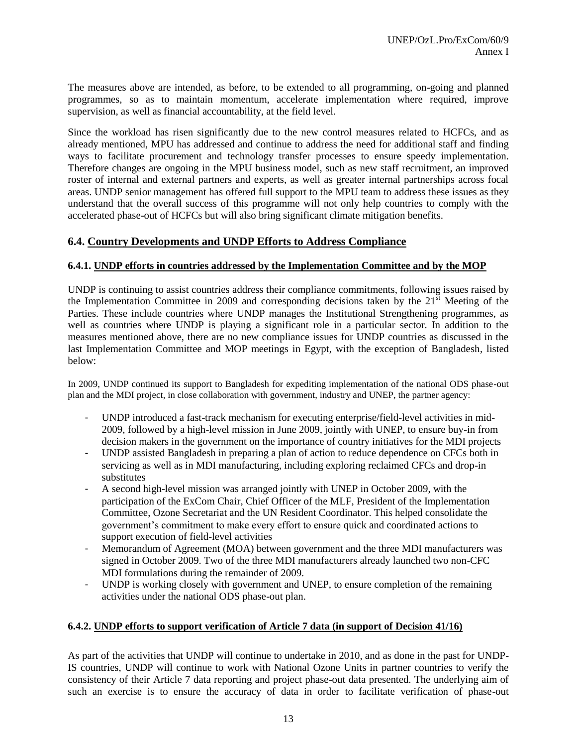The measures above are intended, as before, to be extended to all programming, on-going and planned programmes, so as to maintain momentum, accelerate implementation where required, improve supervision, as well as financial accountability, at the field level.

Since the workload has risen significantly due to the new control measures related to HCFCs, and as already mentioned, MPU has addressed and continue to address the need for additional staff and finding ways to facilitate procurement and technology transfer processes to ensure speedy implementation. Therefore changes are ongoing in the MPU business model, such as new staff recruitment, an improved roster of internal and external partners and experts, as well as greater internal partnerships across focal areas. UNDP senior management has offered full support to the MPU team to address these issues as they understand that the overall success of this programme will not only help countries to comply with the accelerated phase-out of HCFCs but will also bring significant climate mitigation benefits.

# **6.4. Country Developments and UNDP Efforts to Address Compliance**

## **6.4.1. UNDP efforts in countries addressed by the Implementation Committee and by the MOP**

UNDP is continuing to assist countries address their compliance commitments, following issues raised by the Implementation Committee in 2009 and corresponding decisions taken by the  $21<sup>st</sup>$  Meeting of the Parties. These include countries where UNDP manages the Institutional Strengthening programmes, as well as countries where UNDP is playing a significant role in a particular sector. In addition to the measures mentioned above, there are no new compliance issues for UNDP countries as discussed in the last Implementation Committee and MOP meetings in Egypt, with the exception of Bangladesh, listed below:

In 2009, UNDP continued its support to Bangladesh for expediting implementation of the national ODS phase-out plan and the MDI project, in close collaboration with government, industry and UNEP, the partner agency:

- UNDP introduced a fast-track mechanism for executing enterprise/field-level activities in mid-2009, followed by a high-level mission in June 2009, jointly with UNEP, to ensure buy-in from decision makers in the government on the importance of country initiatives for the MDI projects
- UNDP assisted Bangladesh in preparing a plan of action to reduce dependence on CFCs both in servicing as well as in MDI manufacturing, including exploring reclaimed CFCs and drop-in substitutes
- A second high-level mission was arranged jointly with UNEP in October 2009, with the participation of the ExCom Chair, Chief Officer of the MLF, President of the Implementation Committee, Ozone Secretariat and the UN Resident Coordinator. This helped consolidate the government"s commitment to make every effort to ensure quick and coordinated actions to support execution of field-level activities
- Memorandum of Agreement (MOA) between government and the three MDI manufacturers was signed in October 2009. Two of the three MDI manufacturers already launched two non-CFC MDI formulations during the remainder of 2009.
- UNDP is working closely with government and UNEP, to ensure completion of the remaining activities under the national ODS phase-out plan.

## **6.4.2. UNDP efforts to support verification of Article 7 data (in support of Decision 41/16)**

As part of the activities that UNDP will continue to undertake in 2010, and as done in the past for UNDP-IS countries, UNDP will continue to work with National Ozone Units in partner countries to verify the consistency of their Article 7 data reporting and project phase-out data presented. The underlying aim of such an exercise is to ensure the accuracy of data in order to facilitate verification of phase-out